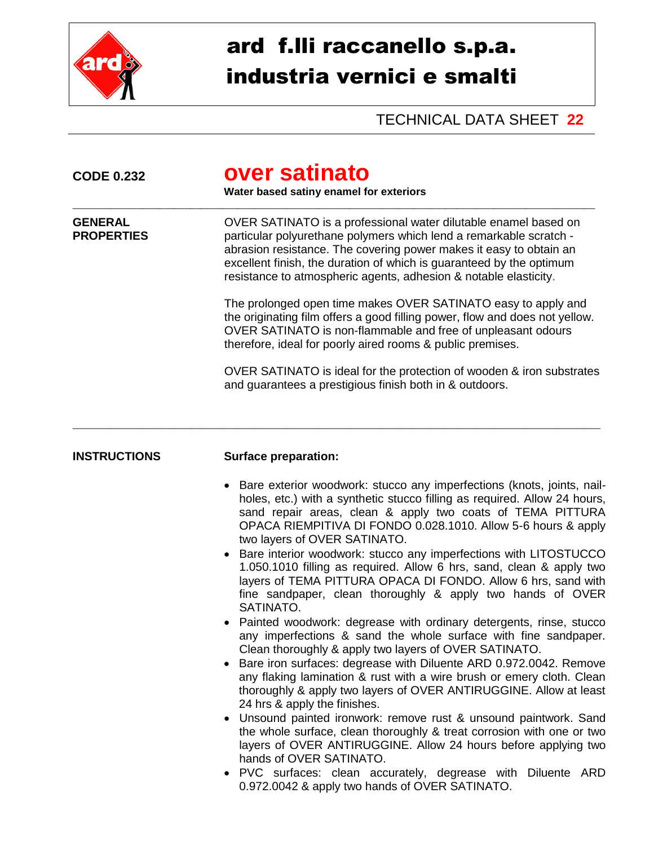

## ard f.lli raccanello s.p.a. industria vernici e smalti

TECHNICAL DATA SHEET **22**

| <b>CODE 0.232</b>                   | over satinato<br>Water based satiny enamel for exteriors                                                                                                                                                                                                                                                                                                                                                                                                                                                                                                                                                                                                                                                                                                                                                                                                                                                                                                                                                                                                                                                                                                                                                                                                                                                                                                                                                                                   |  |  |  |
|-------------------------------------|--------------------------------------------------------------------------------------------------------------------------------------------------------------------------------------------------------------------------------------------------------------------------------------------------------------------------------------------------------------------------------------------------------------------------------------------------------------------------------------------------------------------------------------------------------------------------------------------------------------------------------------------------------------------------------------------------------------------------------------------------------------------------------------------------------------------------------------------------------------------------------------------------------------------------------------------------------------------------------------------------------------------------------------------------------------------------------------------------------------------------------------------------------------------------------------------------------------------------------------------------------------------------------------------------------------------------------------------------------------------------------------------------------------------------------------------|--|--|--|
| <b>GENERAL</b><br><b>PROPERTIES</b> | OVER SATINATO is a professional water dilutable enamel based on<br>particular polyurethane polymers which lend a remarkable scratch -<br>abrasion resistance. The covering power makes it easy to obtain an<br>excellent finish, the duration of which is guaranteed by the optimum<br>resistance to atmospheric agents, adhesion & notable elasticity.                                                                                                                                                                                                                                                                                                                                                                                                                                                                                                                                                                                                                                                                                                                                                                                                                                                                                                                                                                                                                                                                                    |  |  |  |
|                                     | The prolonged open time makes OVER SATINATO easy to apply and<br>the originating film offers a good filling power, flow and does not yellow.<br>OVER SATINATO is non-flammable and free of unpleasant odours<br>therefore, ideal for poorly aired rooms & public premises.                                                                                                                                                                                                                                                                                                                                                                                                                                                                                                                                                                                                                                                                                                                                                                                                                                                                                                                                                                                                                                                                                                                                                                 |  |  |  |
|                                     | OVER SATINATO is ideal for the protection of wooden & iron substrates<br>and guarantees a prestigious finish both in & outdoors.                                                                                                                                                                                                                                                                                                                                                                                                                                                                                                                                                                                                                                                                                                                                                                                                                                                                                                                                                                                                                                                                                                                                                                                                                                                                                                           |  |  |  |
| <b>INSTRUCTIONS</b>                 | <b>Surface preparation:</b>                                                                                                                                                                                                                                                                                                                                                                                                                                                                                                                                                                                                                                                                                                                                                                                                                                                                                                                                                                                                                                                                                                                                                                                                                                                                                                                                                                                                                |  |  |  |
|                                     | Bare exterior woodwork: stucco any imperfections (knots, joints, nail-<br>$\bullet$<br>holes, etc.) with a synthetic stucco filling as required. Allow 24 hours,<br>sand repair areas, clean & apply two coats of TEMA PITTURA<br>OPACA RIEMPITIVA DI FONDO 0.028.1010. Allow 5-6 hours & apply<br>two layers of OVER SATINATO.<br>Bare interior woodwork: stucco any imperfections with LITOSTUCCO<br>1.050.1010 filling as required. Allow 6 hrs, sand, clean & apply two<br>layers of TEMA PITTURA OPACA DI FONDO. Allow 6 hrs, sand with<br>fine sandpaper, clean thoroughly & apply two hands of OVER<br>SATINATO.<br>Painted woodwork: degrease with ordinary detergents, rinse, stucco<br>any imperfections & sand the whole surface with fine sandpaper.<br>Clean thoroughly & apply two layers of OVER SATINATO.<br>Bare iron surfaces: degrease with Diluente ARD 0.972.0042. Remove<br>any flaking lamination & rust with a wire brush or emery cloth. Clean<br>thoroughly & apply two layers of OVER ANTIRUGGINE. Allow at least<br>24 hrs & apply the finishes.<br>Unsound painted ironwork: remove rust & unsound paintwork. Sand<br>٠<br>the whole surface, clean thoroughly & treat corrosion with one or two<br>layers of OVER ANTIRUGGINE. Allow 24 hours before applying two<br>hands of OVER SATINATO.<br>PVC surfaces: clean accurately, degrease with Diluente ARD<br>0.972.0042 & apply two hands of OVER SATINATO. |  |  |  |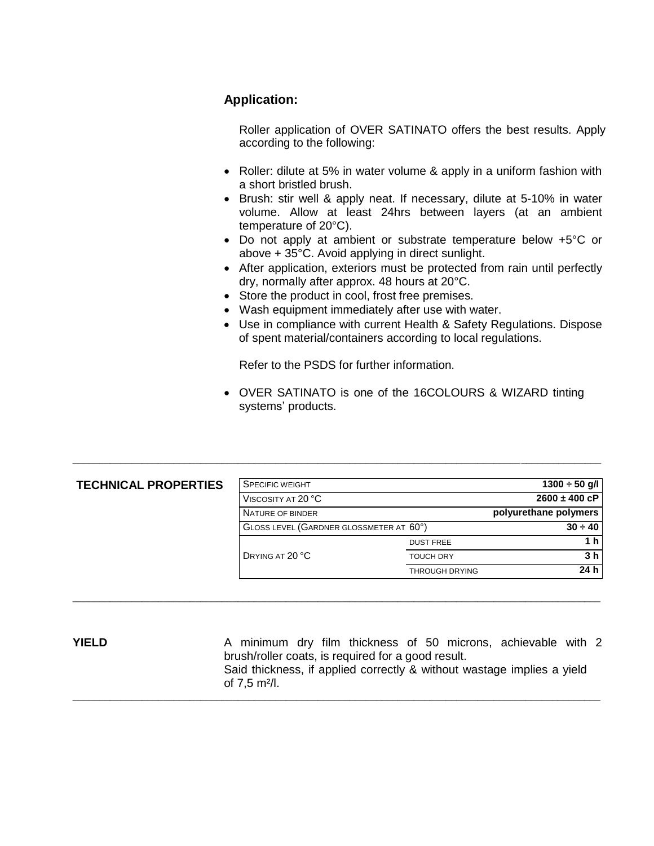## **Application:**

Roller application of OVER SATINATO offers the best results. Apply according to the following:

- Roller: dilute at 5% in water volume & apply in a uniform fashion with a short bristled brush.
- Brush: stir well & apply neat. If necessary, dilute at 5-10% in water volume. Allow at least 24hrs between layers (at an ambient temperature of 20°C).
- Do not apply at ambient or substrate temperature below +5°C or above + 35°C. Avoid applying in direct sunlight.
- After application, exteriors must be protected from rain until perfectly dry, normally after approx. 48 hours at 20°C.
- Store the product in cool, frost free premises.
- Wash equipment immediately after use with water.
- Use in compliance with current Health & Safety Regulations. Dispose of spent material/containers according to local regulations.

Refer to the PSDS for further information.

 OVER SATINATO is one of the 16COLOURS & WIZARD tinting systems' products.

| <b>TECHNICAL PROPERTIES</b> | SPECIFIC WEIGHT                         |                       | $1300 \div 50$ g/l    |
|-----------------------------|-----------------------------------------|-----------------------|-----------------------|
|                             | VISCOSITY AT 20 °C                      |                       | $2600 \pm 400$ cP     |
|                             | NATURE OF BINDER                        |                       | polyurethane polymers |
|                             | GLOSS LEVEL (GARDNER GLOSSMETER AT 60°) |                       | $30 \div 40$          |
|                             |                                         | <b>DUST FREE</b>      | 1 h                   |
|                             | DRYING AT 20 °C                         | <b>TOUCH DRY</b>      | 3 <sub>h</sub>        |
|                             |                                         | <b>THROUGH DRYING</b> | 24 h                  |
|                             |                                         |                       |                       |
|                             |                                         |                       |                       |

\_\_\_\_\_\_\_\_\_\_\_\_\_\_\_\_\_\_\_\_\_\_\_\_\_\_\_\_\_\_\_\_\_\_\_\_\_\_\_\_\_\_\_\_\_\_\_\_\_\_\_\_\_\_\_\_\_\_\_\_\_\_\_\_\_\_\_\_\_\_\_\_\_\_\_\_\_\_\_\_\_\_\_\_\_\_\_\_\_\_\_\_\_\_\_\_\_\_\_

**YIELD** A minimum dry film thickness of 50 microns, achievable with 2 brush/roller coats, is required for a good result. Said thickness, if applied correctly & without wastage implies a yield of 7,5 m²/l. \_\_\_\_\_\_\_\_\_\_\_\_\_\_\_\_\_\_\_\_\_\_\_\_\_\_\_\_\_\_\_\_\_\_\_\_\_\_\_\_\_\_\_\_\_\_\_\_\_\_\_\_\_\_\_\_\_\_\_\_\_\_\_\_\_\_\_\_\_\_\_\_\_\_\_\_\_\_\_\_\_\_\_\_\_\_\_\_\_\_\_\_\_\_\_\_\_\_\_